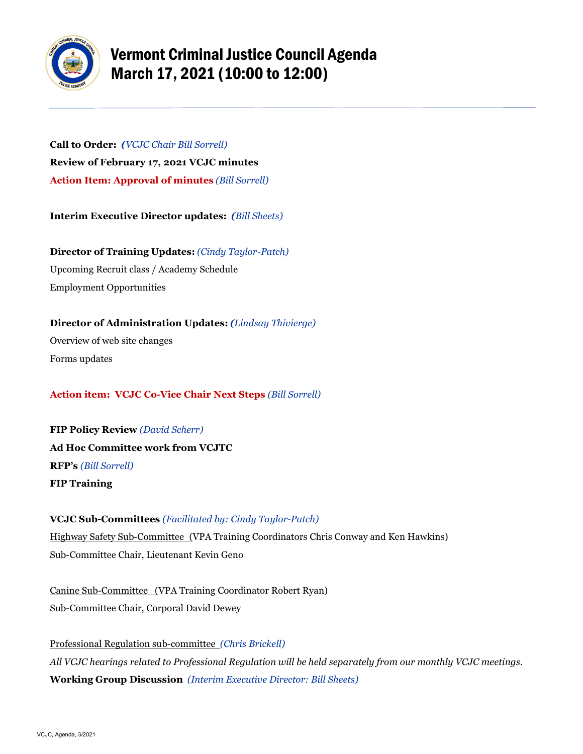

# Vermont Criminal Justice Council Agenda March 17, 2021 (10:00 to 12:00)

**Call to Order:** *(VCJC Chair Bill Sorrell)* **Review of February 17, 2021 VCJC minutes Action Item: Approval of minutes** *(Bill Sorrell)*

**Interim Executive Director updates:** *(Bill Sheets)*

**Director of Training Updates:** *(Cindy Taylor-Patch)* Upcoming Recruit class / Academy Schedule Employment Opportunities

**Director of Administration Updates:** *(Lindsay Thivierge)* Overview of web site changes Forms updates

## **Action item: VCJC Co-Vice Chair Next Steps** *(Bill Sorrell)*

**FIP Policy Review** *(David Scherr)* **Ad Hoc Committee work from VCJTC RFP's** *(Bill Sorrell)* **FIP Training**

### **VCJC Sub-Committees** *(Facilitated by: Cindy Taylor-Patch)*

Highway Safety Sub-Committee (VPA Training Coordinators Chris Conway and Ken Hawkins) Sub-Committee Chair, Lieutenant Kevin Geno

Canine Sub-Committee (VPA Training Coordinator Robert Ryan) Sub-Committee Chair, Corporal David Dewey

Professional Regulation sub-committee *(Chris Brickell) All VCJC hearings related to Professional Regulation will be held separately from our monthly VCJC meetings.* **Working Group Discussion** *(Interim Executive Director: Bill Sheets)*